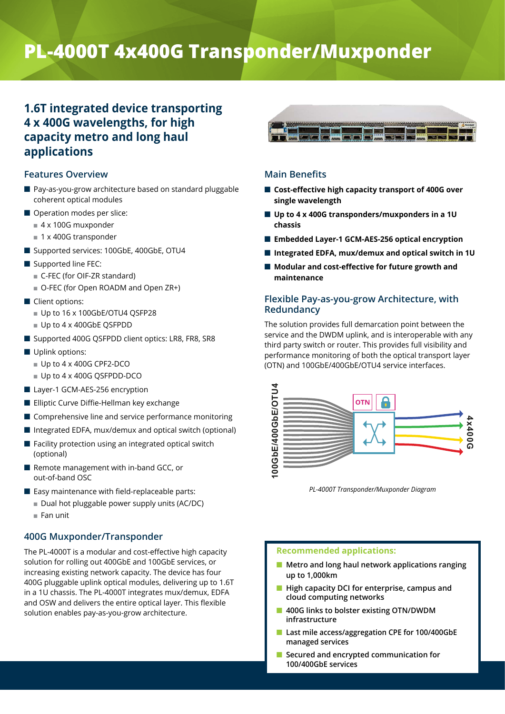# **PL-4000T 4x400G Transponder/Muxponder**

# **1.6T integrated device transporting 4 x 400G wavelengths, for high capacity metro and long haul applications**

# **Features Overview**

- Pay-as-you-grow architecture based on standard pluggable coherent optical modules
- Operation modes per slice:
	- $\blacksquare$  4 x 100G muxponder
	- $\blacksquare$  1 x 400G transponder
- Supported services: 100GbE, 400GbE, OTU4
- $\blacksquare$  Supported line FEC:
	- C-FEC (for OIF-ZR standard)
	- O-FEC (for Open ROADM and Open ZR+)
- Client options:
	- Up to 16 x 100GbE/OTU4 QSFP28
	- $\blacksquare$  Up to 4 x 400GbE QSFPDD
- Supported 400G QSFPDD client optics: LR8, FR8, SR8
- $\blacksquare$  Uplink options:
	- $\blacksquare$  Up to 4 x 400G CPF2-DCO
	- $\blacksquare$  Up to 4 x 400G QSFPDD-DCO
- Layer-1 GCM-AES-256 encryption
- **Elliptic Curve Diffie-Hellman key exchange**
- $\blacksquare$  Comprehensive line and service performance monitoring
- $\blacksquare$  Integrated EDFA, mux/demux and optical switch (optional)
- $\blacksquare$  Facility protection using an integrated optical switch (optional)
- Remote management with in-band GCC, or out-of-band OSC
- $\blacksquare$  Easy maintenance with field-replaceable parts:
	- Dual hot pluggable power supply units (AC/DC)
	- $\blacksquare$  Fan unit

# **400G Muxponder/Transponder**

The PL-4000T is a modular and cost-effective high capacity solution for rolling out 400GbE and 100GbE services, or increasing existing network capacity. The device has four 400G pluggable uplink optical modules, delivering up to 1.6T in a 1U chassis. The PL-4000T integrates mux/demux, EDFA and OSW and delivers the entire optical layer. This flexible solution enables pay-as-you-grow architecture.



# **Main Benefits**

- Cost-effective high capacity transport of 400G over **single wavelength**
- Up to 4 x 400G transponders/muxponders in a 1U **chassis**
- Embedded Layer-1 GCM-AES-256 optical encryption
- Integrated EDFA, mux/demux and optical switch in 1U
- Modular and cost-effective for future growth and **maintenance**

# **Flexible Pay-as-you-grow Architecture, with Redundancy**

The solution provides full demarcation point between the service and the DWDM uplink, and is interoperable with any third party switch or router. This provides full visibility and performance monitoring of both the optical transport layer (OTN) and 100GbE/400GbE/OTU4 service interfaces.



*PL-4000T Transponder/Muxponder Diagram*

#### **Recommended applications:**

- Metro and long haul network applications ranging **up to 1,000km**
- **High capacity DCI for enterprise, campus and cloud computing networks**
- Q **400G links to bolster existing OTN/DWDM infrastructure**
- Last mile access/aggregation CPE for 100/400GbE **managed services**
- Secured and encrypted communication for **100/400GbE services**